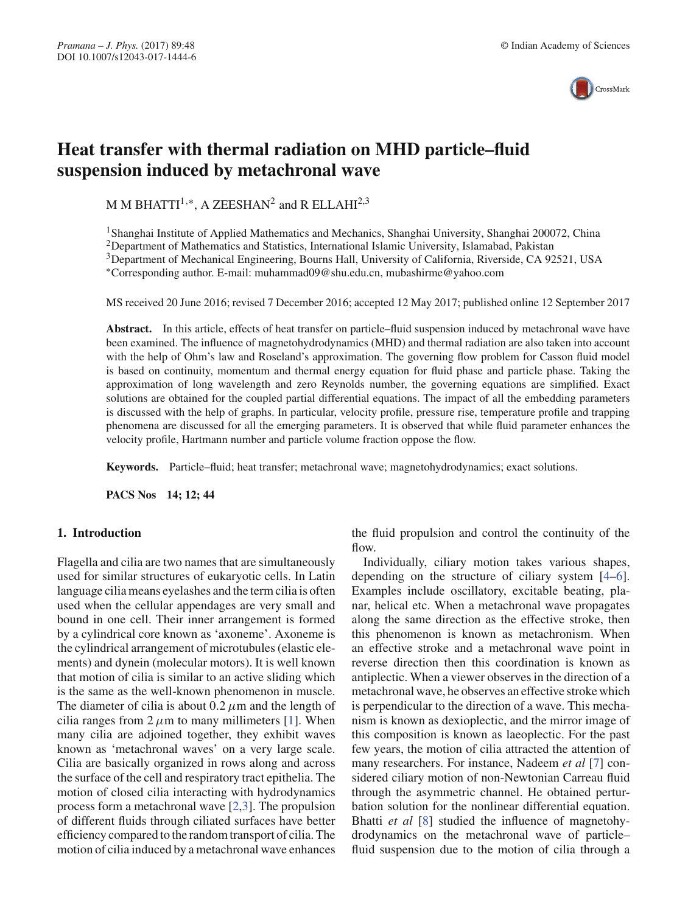

# **Heat transfer with thermal radiation on MHD particle–fluid suspension induced by metachronal wave**

M M BHATTI<sup>1,\*</sup>, A ZEESHAN<sup>2</sup> and R ELLAHI<sup>2,3</sup>

1Shanghai Institute of Applied Mathematics and Mechanics, Shanghai University, Shanghai 200072, China

<sup>2</sup>Department of Mathematics and Statistics, International Islamic University, Islamabad, Pakistan

3Department of Mechanical Engineering, Bourns Hall, University of California, Riverside, CA 92521, USA

∗Corresponding author. E-mail: muhammad09@shu.edu.cn, mubashirme@yahoo.com

MS received 20 June 2016; revised 7 December 2016; accepted 12 May 2017; published online 12 September 2017

Abstract. In this article, effects of heat transfer on particle–fluid suspension induced by metachronal wave have been examined. The influence of magnetohydrodynamics (MHD) and thermal radiation are also taken into account with the help of Ohm's law and Roseland's approximation. The governing flow problem for Casson fluid model is based on continuity, momentum and thermal energy equation for fluid phase and particle phase. Taking the approximation of long wavelength and zero Reynolds number, the governing equations are simplified. Exact solutions are obtained for the coupled partial differential equations. The impact of all the embedding parameters is discussed with the help of graphs. In particular, velocity profile, pressure rise, temperature profile and trapping phenomena are discussed for all the emerging parameters. It is observed that while fluid parameter enhances the velocity profile, Hartmann number and particle volume fraction oppose the flow.

**Keywords.** Particle–fluid; heat transfer; metachronal wave; magnetohydrodynamics; exact solutions.

**PACS Nos 14; 12; 44**

#### **1. Introduction**

Flagella and cilia are two names that are simultaneously used for similar structures of eukaryotic cells. In Latin language cilia means eyelashes and the term cilia is often used when the cellular appendages are very small and bound in one cell. Their inner arrangement is formed by a cylindrical core known as 'axoneme'. Axoneme is the cylindrical arrangement of microtubules (elastic elements) and dynein (molecular motors). It is well known that motion of cilia is similar to an active sliding which is the same as the well-known phenomenon in muscle. The diameter of cilia is about  $0.2 \mu$ m and the length of cilia ranges from 2  $\mu$ m to many millimeters [1]. When many cilia are adjoined together, they exhibit waves known as 'metachronal waves' on a very large scale. Cilia are basically organized in rows along and across the surface of the cell and respiratory tract epithelia. The motion of closed cilia interacting with hydrodynamics process form a metachronal wave [2,3]. The propulsion of different fluids through ciliated surfaces have better efficiency compared to the random transport of cilia. The motion of cilia induced by a metachronal wave enhances the fluid propulsion and control the continuity of the flow.

Individually, ciliary motion takes various shapes, depending on the structure of ciliary system [4–6]. Examples include oscillatory, excitable beating, planar, helical etc. When a metachronal wave propagates along the same direction as the effective stroke, then this phenomenon is known as metachronism. When an effective stroke and a metachronal wave point in reverse direction then this coordination is known as antiplectic. When a viewer observes in the direction of a metachronal wave, he observes an effective stroke which is perpendicular to the direction of a wave. This mechanism is known as dexioplectic, and the mirror image of this composition is known as laeoplectic. For the past few years, the motion of cilia attracted the attention of many researchers. For instance, Nadeem *et al* [7] considered ciliary motion of non-Newtonian Carreau fluid through the asymmetric channel. He obtained perturbation solution for the nonlinear differential equation. Bhatti *et al* [8] studied the influence of magnetohydrodynamics on the metachronal wave of particle– fluid suspension due to the motion of cilia through a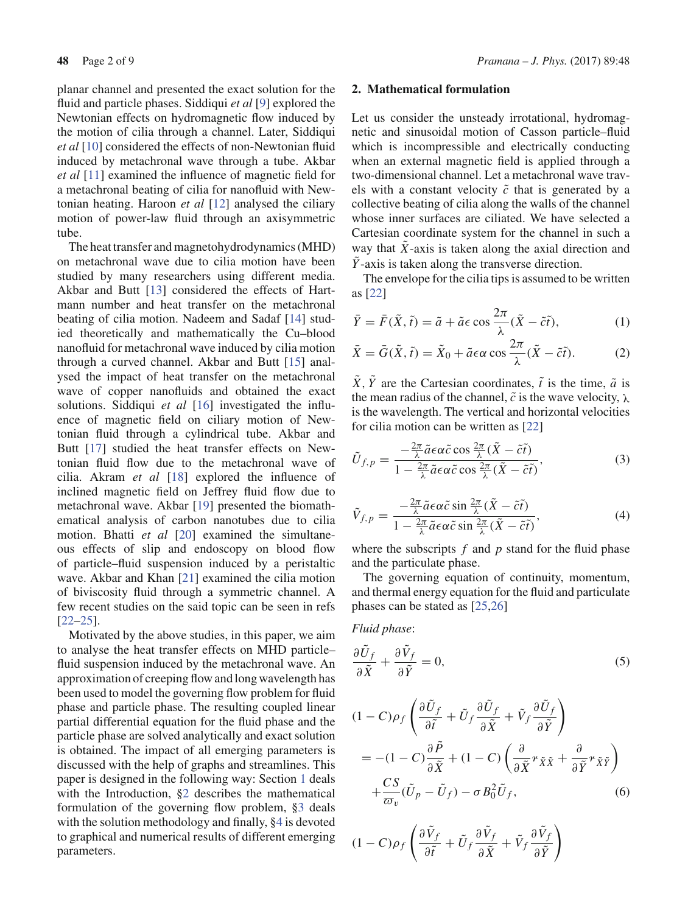planar channel and presented the exact solution for the fluid and particle phases. Siddiqui *et al* [9] explored the Newtonian effects on hydromagnetic flow induced by the motion of cilia through a channel. Later, Siddiqui *et al* [10] considered the effects of non-Newtonian fluid induced by metachronal wave through a tube. Akbar *et al* [11] examined the influence of magnetic field for a metachronal beating of cilia for nanofluid with Newtonian heating. Haroon *et al* [12] analysed the ciliary motion of power-law fluid through an axisymmetric tube.

The heat transfer and magnetohydrodynamics (MHD) on metachronal wave due to cilia motion have been studied by many researchers using different media. Akbar and Butt [13] considered the effects of Hartmann number and heat transfer on the metachronal beating of cilia motion. Nadeem and Sadaf [14] studied theoretically and mathematically the Cu–blood nanofluid for metachronal wave induced by cilia motion through a curved channel. Akbar and Butt [15] analysed the impact of heat transfer on the metachronal wave of copper nanofluids and obtained the exact solutions. Siddiqui *et al* [16] investigated the influence of magnetic field on ciliary motion of Newtonian fluid through a cylindrical tube. Akbar and Butt [17] studied the heat transfer effects on Newtonian fluid flow due to the metachronal wave of cilia. Akram *et al* [18] explored the influence of inclined magnetic field on Jeffrey fluid flow due to metachronal wave. Akbar [19] presented the biomathematical analysis of carbon nanotubes due to cilia motion. Bhatti *et al* [20] examined the simultaneous effects of slip and endoscopy on blood flow of particle–fluid suspension induced by a peristaltic wave. Akbar and Khan [21] examined the cilia motion of biviscosity fluid through a symmetric channel. A few recent studies on the said topic can be seen in refs [22–25].

Motivated by the above studies, in this paper, we aim to analyse the heat transfer effects on MHD particle– fluid suspension induced by the metachronal wave. An approximation of creeping flow and long wavelength has been used to model the governing flow problem for fluid phase and particle phase. The resulting coupled linear partial differential equation for the fluid phase and the particle phase are solved analytically and exact solution is obtained. The impact of all emerging parameters is discussed with the help of graphs and streamlines. This paper is designed in the following way: Section 1 deals with the Introduction, §2 describes the mathematical formulation of the governing flow problem, §3 deals with the solution methodology and finally, §4 is devoted to graphical and numerical results of different emerging parameters.

#### **2. Mathematical formulation**

Let us consider the unsteady irrotational, hydromagnetic and sinusoidal motion of Casson particle–fluid which is incompressible and electrically conducting when an external magnetic field is applied through a two-dimensional channel. Let a metachronal wave travels with a constant velocity  $\tilde{c}$  that is generated by a collective beating of cilia along the walls of the channel whose inner surfaces are ciliated. We have selected a Cartesian coordinate system for the channel in such a way that  $\hat{X}$ -axis is taken along the axial direction and  $\tilde{Y}$ -axis is taken along the transverse direction.

The envelope for the cilia tips is assumed to be written as [22]

$$
\bar{Y} = \bar{F}(\tilde{X}, \tilde{t}) = \tilde{a} + \tilde{a}\epsilon \cos \frac{2\pi}{\lambda} (\tilde{X} - \tilde{c}\tilde{t}),
$$
 (1)

$$
\bar{X} = \bar{G}(\tilde{X}, \tilde{t}) = \tilde{X}_0 + \tilde{a}\epsilon\alpha\cos\frac{2\pi}{\lambda}(\tilde{X} - \tilde{c}\tilde{t}).
$$
 (2)

*X*, *Y* are the Cartesian coordinates,  $\tilde{t}$  is the time,  $\tilde{a}$  is the mean radius of the channel,  $\tilde{c}$  is the wave velocity,  $\lambda$ is the wavelength. The vertical and horizontal velocities for cilia motion can be written as [22]

$$
\tilde{U}_{f,p} = \frac{-\frac{2\pi}{\lambda}\tilde{a}\epsilon\alpha\tilde{c}\cos\frac{2\pi}{\lambda}(\tilde{X} - \tilde{c}\tilde{t})}{1 - \frac{2\pi}{\lambda}\tilde{a}\epsilon\alpha\tilde{c}\cos\frac{2\pi}{\lambda}(\tilde{X} - \tilde{c}\tilde{t})},
$$
(3)

$$
\tilde{V}_{f,p} = \frac{-\frac{2\pi}{\lambda}\tilde{a}\epsilon\alpha\tilde{c}\sin\frac{2\pi}{\lambda}(\tilde{X} - \tilde{c}\tilde{t})}{1 - \frac{2\pi}{\lambda}\tilde{a}\epsilon\alpha\tilde{c}\sin\frac{2\pi}{\lambda}(\tilde{X} - \tilde{c}\tilde{t})},\tag{4}
$$

where the subscripts *f* and *p* stand for the fluid phase and the particulate phase.

The governing equation of continuity, momentum, and thermal energy equation for the fluid and particulate phases can be stated as [25,26]

*Fluid phase*:

$$
\frac{\partial \tilde{U}_f}{\partial \tilde{X}} + \frac{\partial \tilde{V}_f}{\partial \tilde{Y}} = 0,\tag{5}
$$

$$
(1 - C)\rho_f \left( \frac{\partial \tilde{U}_f}{\partial \tilde{t}} + \tilde{U}_f \frac{\partial \tilde{U}_f}{\partial \tilde{X}} + \tilde{V}_f \frac{\partial \tilde{U}_f}{\partial \tilde{Y}} \right)
$$
  
= -(1 - C)\frac{\partial \tilde{P}}{\partial \tilde{X}} + (1 - C)\left( \frac{\partial}{\partial \tilde{X}} \tilde{r} \tilde{X} \tilde{X} + \frac{\partial}{\partial \tilde{Y}} \tilde{r} \tilde{X} \tilde{Y} \right)  
+ \frac{CS}{\varpi\_v} (\tilde{U}\_p - \tilde{U}\_f) - \sigma B\_0^2 \tilde{U}\_f, \tag{6}

 $(1 - C)\rho_f$  $\int$  $\partial \tilde{V}_f$  $\frac{\partial V_f}{\partial \tilde{t}} + \tilde{U}_f \frac{\partial V_f}{\partial \tilde{X}} + \tilde{V}_f \frac{\partial V_f}{\partial \tilde{Y}}$ ∂*Y*˜  $\setminus$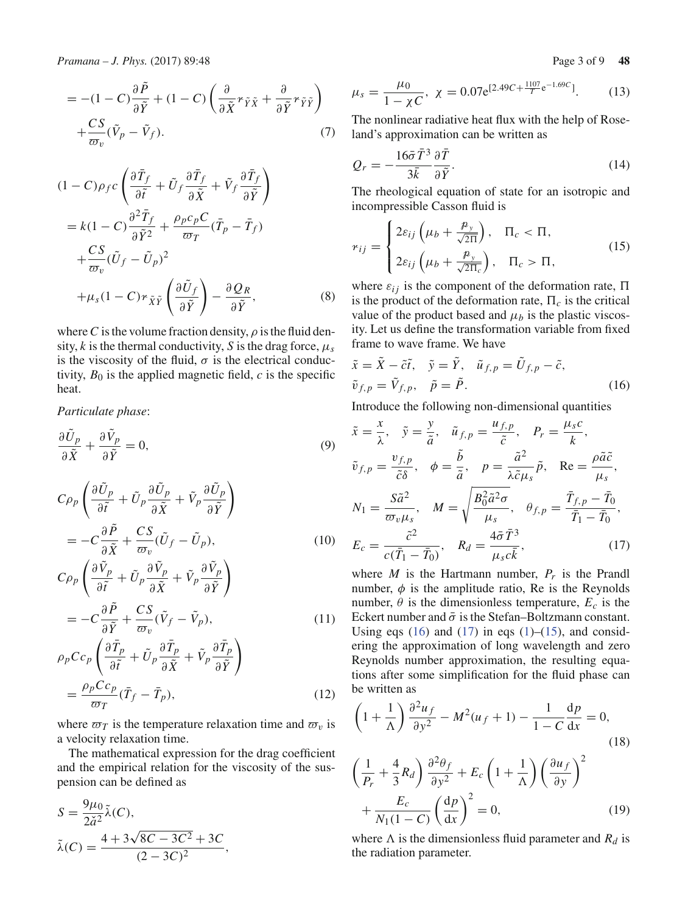$$
= -(1 - C)\frac{\partial \tilde{P}}{\partial \tilde{Y}} + (1 - C)\left(\frac{\partial}{\partial \tilde{X}}\tilde{r}\tilde{Y}\tilde{X} + \frac{\partial}{\partial \tilde{Y}}\tilde{r}\tilde{Y}\tilde{Y}\right) + \frac{CS}{\varpi_{v}}(\tilde{V}_{p} - \tilde{V}_{f}).
$$
\n(7)

$$
(1 - C)\rho_f c \left( \frac{\partial \bar{T}_f}{\partial \tilde{t}} + \tilde{U}_f \frac{\partial \bar{T}_f}{\partial \tilde{X}} + \tilde{V}_f \frac{\partial \bar{T}_f}{\partial \tilde{Y}} \right)
$$
  
\n
$$
= k(1 - C) \frac{\partial^2 \bar{T}_f}{\partial \tilde{Y}^2} + \frac{\rho_p c_p C}{\varpi_T} (\bar{T}_p - \bar{T}_f)
$$
  
\n
$$
+ \frac{CS}{\varpi_v} (\tilde{U}_f - \tilde{U}_p)^2
$$
  
\n
$$
+ \mu_s (1 - C) \kappa_{\tilde{X}\tilde{Y}} \left( \frac{\partial \tilde{U}_f}{\partial \tilde{Y}} \right) - \frac{\partial Q_R}{\partial \tilde{Y}},
$$
 (8)

where *C* is the volume fraction density,  $\rho$  is the fluid density, *k* is the thermal conductivity, *S* is the drag force,  $\mu_s$ is the viscosity of the fluid,  $\sigma$  is the electrical conductivity,  $B_0$  is the applied magnetic field,  $c$  is the specific heat.

*Particulate phase*:

$$
\frac{\partial \tilde{U}_p}{\partial \tilde{X}} + \frac{\partial \tilde{V}_p}{\partial \tilde{Y}} = 0,\tag{9}
$$

$$
C_{\rho_p} \left( \frac{\partial \tilde{U}_p}{\partial \tilde{t}} + \tilde{U}_p \frac{\partial \tilde{U}_p}{\partial \tilde{X}} + \tilde{V}_p \frac{\partial \tilde{U}_p}{\partial \tilde{Y}} \right)
$$
  
= 
$$
-C \frac{\partial \tilde{P}}{\partial \tilde{X}} + \frac{CS}{\varpi_v} (\tilde{U}_f - \tilde{U}_p),
$$
  

$$
C_{\rho} \left( \frac{\partial \tilde{V}_p}{\partial \tilde{Y}_p} + \tilde{U}_p \frac{\partial \tilde{V}_p}{\partial \tilde{Y}_p} + \tilde{U}_p \frac{\partial \tilde{V}_p}{\partial \tilde{Y}_p} \right)
$$
(10)

$$
C\rho_p \left( \frac{\partial \mathbf{v}_p}{\partial \tilde{t}} + \tilde{U}_p \frac{\partial \mathbf{v}_p}{\partial \tilde{X}} + \tilde{V}_p \frac{\partial \mathbf{v}_p}{\partial \tilde{Y}} \right)
$$
  
= 
$$
-C \frac{\partial \tilde{P}}{\partial \tilde{Y}} + \frac{CS}{\varpi_v} (\tilde{V}_f - \tilde{V}_p),
$$
  

$$
\rho_p C c_p \left( \frac{\partial \bar{T}_p}{\partial \tilde{t}} + \tilde{U}_p \frac{\partial \bar{T}_p}{\partial \tilde{X}} + \tilde{V}_p \frac{\partial \bar{T}_p}{\partial \tilde{Y}} \right)
$$
(11)

$$
=\frac{\rho_p C c_p}{\varpi_T}(\bar{T}_f - \bar{T}_p),\tag{12}
$$

where  $\varpi_T$  is the temperature relaxation time and  $\varpi_v$  is a velocity relaxation time.

The mathematical expression for the drag coefficient and the empirical relation for the viscosity of the suspension can be defined as

$$
S = \frac{9\mu_0}{2\tilde{a}^2}\tilde{\lambda}(C),
$$
  

$$
\tilde{\lambda}(C) = \frac{4 + 3\sqrt{8C - 3C^2} + 3C}{(2 - 3C)^2},
$$

$$
\mu_s = \frac{\mu_0}{1 - \chi C}, \ \chi = 0.07 e^{[2.49C + \frac{1107}{T}e^{-1.69C}]}.
$$
 (13)

The nonlinear radiative heat flux with the help of Roseland's approximation can be written as

$$
Q_r = -\frac{16\bar{\sigma}\,\bar{T}^3}{3\bar{k}}\frac{\partial\,\bar{T}}{\partial\,\tilde{Y}}.\tag{14}
$$

The rheological equation of state for an isotropic and incompressible Casson fluid is

$$
r_{ij} = \begin{cases} 2\varepsilon_{ij} \left(\mu_b + \frac{p_y}{\sqrt{2\Pi}}\right), & \Pi_c < \Pi, \\ 2\varepsilon_{ij} \left(\mu_b + \frac{p_y}{\sqrt{2\Pi_c}}\right), & \Pi_c > \Pi, \end{cases}
$$
(15)

where  $\varepsilon_{ij}$  is the component of the deformation rate,  $\Pi$ is the product of the deformation rate,  $\Pi_c$  is the critical value of the product based and  $\mu_b$  is the plastic viscosity. Let us define the transformation variable from fixed frame to wave frame. We have

$$
\tilde{x} = \tilde{X} - \tilde{c}\tilde{t}, \quad \tilde{y} = \tilde{Y}, \quad \tilde{u}_{f,p} = \tilde{U}_{f,p} - \tilde{c}, \n\tilde{v}_{f,p} = \tilde{V}_{f,p}, \quad \tilde{p} = \tilde{P}.
$$
\n(16)

Introduce the following non-dimensional quantities

$$
\tilde{x} = \frac{x}{\lambda}, \quad \tilde{y} = \frac{y}{\tilde{a}}, \quad \tilde{u}_{f,p} = \frac{u_{f,p}}{\tilde{c}}, \quad P_r = \frac{\mu_s c}{k},
$$
\n
$$
\tilde{v}_{f,p} = \frac{v_{f,p}}{\tilde{c}\delta}, \quad \phi = \frac{\tilde{b}}{\tilde{a}}, \quad p = \frac{\tilde{a}^2}{\lambda \tilde{c} \mu_s} \tilde{p}, \quad \text{Re} = \frac{\rho \tilde{a} \tilde{c}}{\mu_s},
$$
\n
$$
N_1 = \frac{S \tilde{a}^2}{\varpi_v \mu_s}, \quad M = \sqrt{\frac{B_0^2 \tilde{a}^2 \sigma}{\mu_s}}, \quad \theta_{f,p} = \frac{\bar{T}_{f,p} - \bar{T}_0}{\bar{T}_1 - \bar{T}_0},
$$
\n
$$
E_c = \frac{\tilde{c}^2}{c(\bar{T}_1 - \bar{T}_0)}, \quad R_d = \frac{4\bar{\sigma}\bar{T}^3}{\mu_s c \bar{k}}, \tag{17}
$$

where *M* is the Hartmann number,  $P_r$  is the Prandl number,  $\phi$  is the amplitude ratio, Re is the Reynolds number,  $\theta$  is the dimensionless temperature,  $E_c$  is the Eckert number and  $\bar{\sigma}$  is the Stefan–Boltzmann constant. Using eqs (16) and (17) in eqs (1)–(15), and considering the approximation of long wavelength and zero Reynolds number approximation, the resulting equations after some simplification for the fluid phase can be written as

$$
\left(1+\frac{1}{\Lambda}\right)\frac{\partial^2 u_f}{\partial y^2} - M^2(u_f+1) - \frac{1}{1-C}\frac{dp}{dx} = 0,
$$
\n(18)

$$
\left(\frac{1}{P_r} + \frac{4}{3}R_d\right)\frac{\partial^2 \theta_f}{\partial y^2} + E_c\left(1 + \frac{1}{\Lambda}\right)\left(\frac{\partial u_f}{\partial y}\right)^2 + \frac{E_c}{N_1(1-C)}\left(\frac{dp}{dx}\right)^2 = 0,
$$
\n(19)

where  $\Lambda$  is the dimensionless fluid parameter and  $R_d$  is the radiation parameter.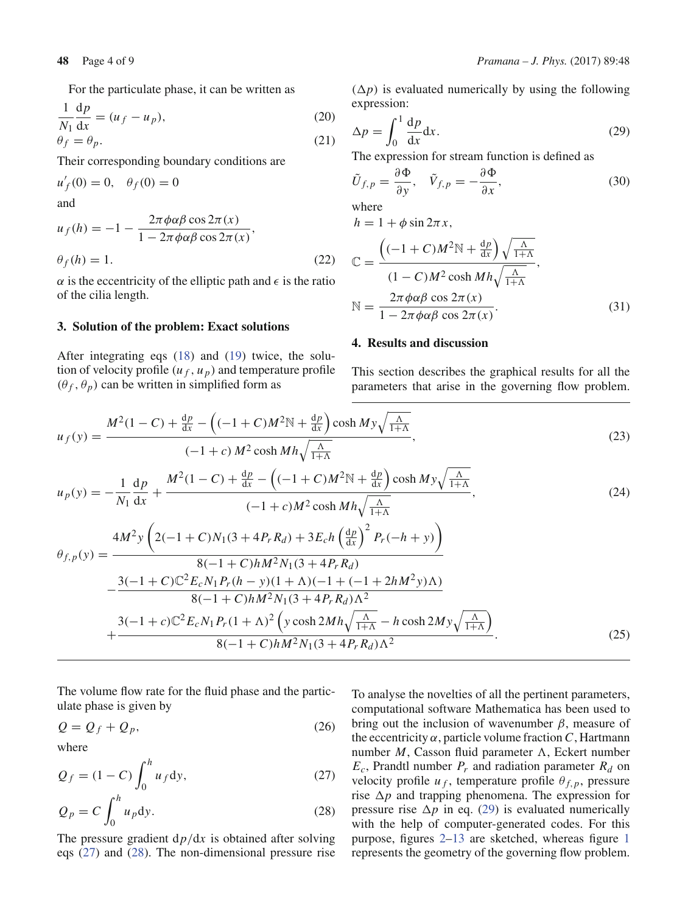For the particulate phase, it can be written as

$$
\frac{1}{N_1}\frac{\mathrm{d}p}{\mathrm{d}x} = (u_f - u_p),\tag{20}
$$

$$
\theta_f = \theta_p. \tag{21}
$$

Their corresponding boundary conditions are

$$
u'_{f}(0) = 0, \quad \theta_{f}(0) = 0
$$

and

$$
u_f(h) = -1 - \frac{2\pi \phi \alpha \beta \cos 2\pi (x)}{1 - 2\pi \phi \alpha \beta \cos 2\pi (x)},
$$
  
\n
$$
\theta_f(h) = 1.
$$
\n(22)

 $\alpha$  is the eccentricity of the elliptic path and  $\epsilon$  is the ratio of the cilia length.

#### **3. Solution of the problem: Exact solutions**

After integrating eqs (18) and (19) twice, the solution of velocity profile  $(u_f, u_p)$  and temperature profile  $(\theta_f, \theta_p)$  can be written in simplified form as

 $(\Delta p)$  is evaluated numerically by using the following expression:

$$
\Delta p = \int_0^1 \frac{\mathrm{d}p}{\mathrm{d}x} \mathrm{d}x. \tag{29}
$$

The expression for stream function is defined as

$$
\tilde{U}_{f,p} = \frac{\partial \Phi}{\partial y}, \quad \tilde{V}_{f,p} = -\frac{\partial \Phi}{\partial x},\tag{30}
$$

where

$$
h=1+\phi\sin 2\pi x,
$$

$$
\mathbb{C} = \frac{\left((-1+C)M^2\mathbb{N} + \frac{dp}{dx}\right)\sqrt{\frac{\Lambda}{1+\Lambda}}}{(1-C)M^2\cosh Mh\sqrt{\frac{\Lambda}{1+\Lambda}}},
$$

$$
\mathbb{N} = \frac{2\pi\phi\alpha\beta\cos 2\pi(x)}{1-2\pi\phi\alpha\beta\cos 2\pi(x)}.
$$
(31)

#### **4. Results and discussion**

This section describes the graphical results for all the parameters that arise in the governing flow problem.

$$
u_f(y) = \frac{M^2(1-C) + \frac{dp}{dx} - \left((-1+C)M^2\mathbb{N} + \frac{dp}{dx}\right)\cosh My \sqrt{\frac{\Lambda}{1+\Lambda}}}{(-1+c)M^2\cosh Mh \sqrt{\frac{\Lambda}{1+\Lambda}}},
$$
\n(23)

$$
u_p(y) = -\frac{1}{N_1} \frac{dp}{dx} + \frac{M^2(1-C) + \frac{dp}{dx} - \left((-1+C)M^2 \mathbb{N} + \frac{dp}{dx}\right) \cosh My \sqrt{\frac{\Lambda}{1+\Lambda}}}{(-1+c)M^2 \cosh Mh \sqrt{\frac{\Lambda}{1+\Lambda}}},\tag{24}
$$

$$
\theta_{f,p}(y) = \frac{4M^2 y \left( 2(-1+C)N_1(3+4P_r R_d) + 3E_c h \left( \frac{dp}{dx} \right)^2 P_r(-h+y) \right)}{8(-1+C)hM^2 N_1(3+4P_r R_d)}
$$

$$
-\frac{3(-1+C)C^2 E_c N_1 P_r(h-y)(1+\Lambda)(-1+(-1+2hM^2 y)\Lambda)}{8(-1+C)hM^2 N_1(3+4P_r R_d)\Lambda^2}
$$

$$
+\frac{3(-1+c)C^2 E_c N_1 P_r(1+\Lambda)^2 \left( y \cosh 2M h \sqrt{\frac{\Lambda}{1+\Lambda}} - h \cosh 2M y \sqrt{\frac{\Lambda}{1+\Lambda}} \right)}{8(-1+C)hM^2 N_1(3+4P_r R_d)\Lambda^2}.
$$
(25)

The volume flow rate for the fluid phase and the particulate phase is given by

$$
Q = Q_f + Q_p, \tag{26}
$$

where

$$
Q_f = (1 - C) \int_0^h u_f \, dy,\tag{27}
$$

$$
Q_p = C \int_0^h u_p \, \mathrm{d}y. \tag{28}
$$

The pressure gradient d*p*/d*x* is obtained after solving eqs (27) and (28). The non-dimensional pressure rise To analyse the novelties of all the pertinent parameters, computational software Mathematica has been used to bring out the inclusion of wavenumber  $\beta$ , measure of the eccentricity  $\alpha$ , particle volume fraction C, Hartmann number  $M$ , Casson fluid parameter  $\Lambda$ , Eckert number  $E_c$ , Prandtl number  $P_r$  and radiation parameter  $R_d$  on velocity profile  $u_f$ , temperature profile  $\theta_{f,p}$ , pressure rise  $\Delta p$  and trapping phenomena. The expression for pressure rise  $\Delta p$  in eq. (29) is evaluated numerically with the help of computer-generated codes. For this purpose, figures 2–13 are sketched, whereas figure 1 represents the geometry of the governing flow problem.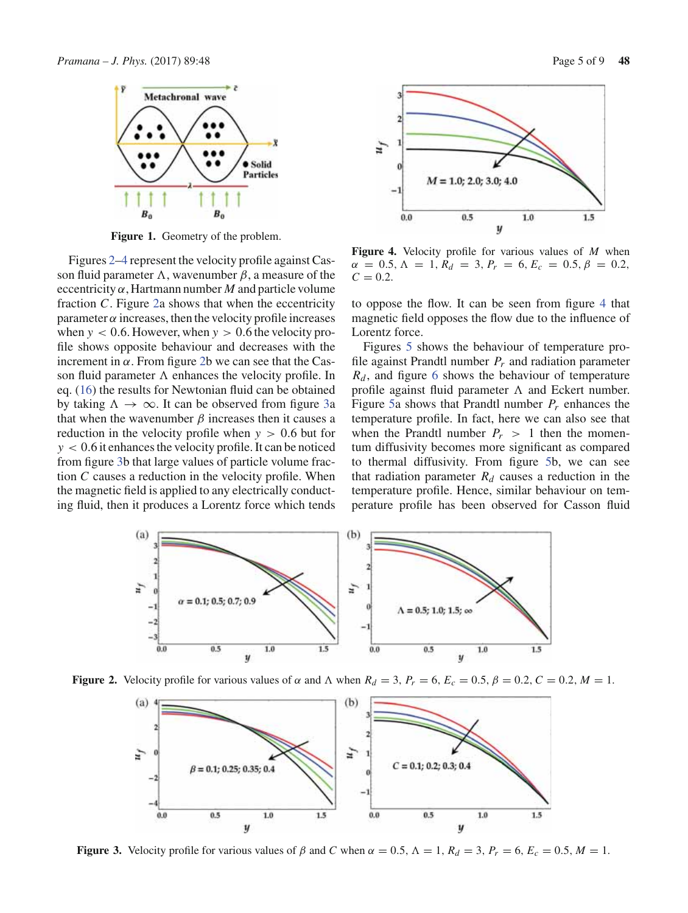

**Figure 1.** Geometry of the problem.

Figures 2–4 represent the velocity profile against Casson fluid parameter  $\Lambda$ , wavenumber  $\beta$ , a measure of the eccentricityα, Hartmann number *M* and particle volume fraction *C*. Figure 2a shows that when the eccentricity parameter  $\alpha$  increases, then the velocity profile increases when  $y < 0.6$ . However, when  $y > 0.6$  the velocity profile shows opposite behaviour and decreases with the increment in  $\alpha$ . From figure 2b we can see that the Casson fluid parameter  $\Lambda$  enhances the velocity profile. In eq. (16) the results for Newtonian fluid can be obtained by taking  $\Lambda \to \infty$ . It can be observed from figure 3a that when the wavenumber  $\beta$  increases then it causes a reduction in the velocity profile when  $y > 0.6$  but for  $y < 0.6$  it enhances the velocity profile. It can be noticed from figure 3b that large values of particle volume fraction *C* causes a reduction in the velocity profile. When the magnetic field is applied to any electrically conducting fluid, then it produces a Lorentz force which tends



**Figure 4.** Velocity profile for various values of *M* when  $\alpha = 0.5, \Lambda = 1, R_d = 3, P_r = 6, E_c = 0.5, \beta = 0.2,$  $C = 0.2$ .

to oppose the flow. It can be seen from figure 4 that magnetic field opposes the flow due to the influence of Lorentz force.

Figures 5 shows the behaviour of temperature profile against Prandtl number *Pr* and radiation parameter  $R_d$ , and figure 6 shows the behaviour of temperature profile against fluid parameter  $\Lambda$  and Eckert number. Figure 5a shows that Prandtl number *Pr* enhances the temperature profile. In fact, here we can also see that when the Prandtl number  $P_r > 1$  then the momentum diffusivity becomes more significant as compared to thermal diffusivity. From figure 5b, we can see that radiation parameter  $R_d$  causes a reduction in the temperature profile. Hence, similar behaviour on temperature profile has been observed for Casson fluid



**Figure 2.** Velocity profile for various values of  $\alpha$  and  $\Lambda$  when  $R_d = 3$ ,  $P_r = 6$ ,  $E_c = 0.5$ ,  $\beta = 0.2$ ,  $C = 0.2$ ,  $M = 1$ .



**Figure 3.** Velocity profile for various values of  $\beta$  and *C* when  $\alpha = 0.5$ ,  $\Lambda = 1$ ,  $R_d = 3$ ,  $P_r = 6$ ,  $E_c = 0.5$ ,  $M = 1$ .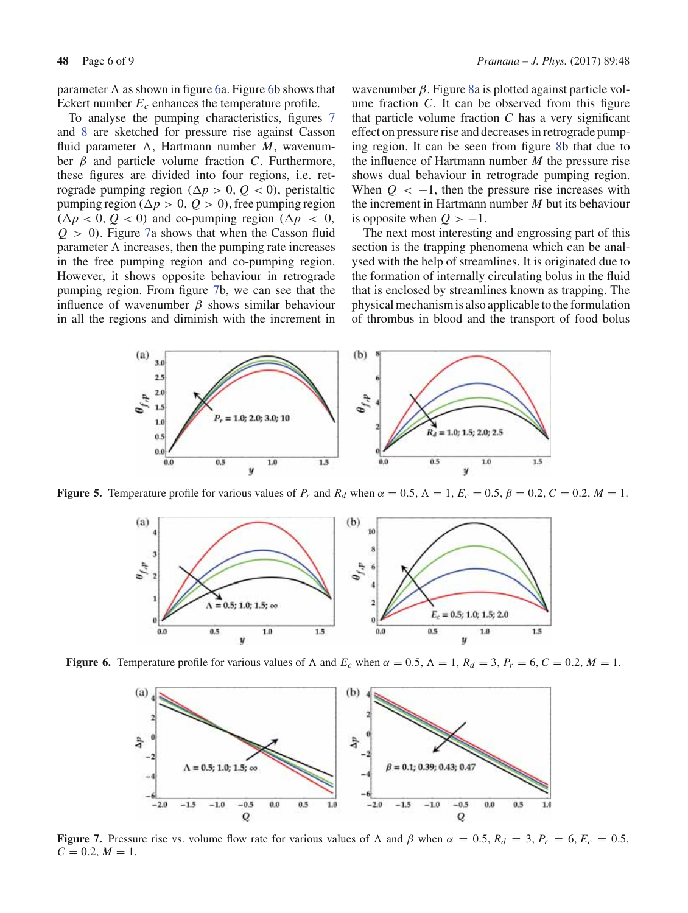parameter  $\Lambda$  as shown in figure 6a. Figure 6b shows that Eckert number  $E_c$  enhances the temperature profile.

To analyse the pumping characteristics, figures 7 and 8 are sketched for pressure rise against Casson fluid parameter  $\Lambda$ , Hartmann number  $M$ , wavenumber β and particle volume fraction *C*. Furthermore, these figures are divided into four regions, i.e. retrograde pumping region ( $\Delta p > 0$ , Q < 0), peristaltic pumping region ( $\Delta p > 0$ ,  $Q > 0$ ), free pumping region  $(\Delta p < 0, Q < 0)$  and co-pumping region  $(\Delta p < 0,$  $Q > 0$ ). Figure 7a shows that when the Casson fluid parameter  $\Lambda$  increases, then the pumping rate increases in the free pumping region and co-pumping region. However, it shows opposite behaviour in retrograde pumping region. From figure 7b, we can see that the influence of wavenumber  $\beta$  shows similar behaviour in all the regions and diminish with the increment in wavenumber  $\beta$ . Figure 8a is plotted against particle volume fraction *C*. It can be observed from this figure that particle volume fraction  $C$  has a very significant effect on pressure rise and decreases in retrograde pumping region. It can be seen from figure 8b that due to the influence of Hartmann number *M* the pressure rise shows dual behaviour in retrograde pumping region. When  $Q \le -1$ , then the pressure rise increases with the increment in Hartmann number *M* but its behaviour is opposite when  $Q > -1$ .

The next most interesting and engrossing part of this section is the trapping phenomena which can be analysed with the help of streamlines. It is originated due to the formation of internally circulating bolus in the fluid that is enclosed by streamlines known as trapping. The physical mechanism is also applicable to the formulation of thrombus in blood and the transport of food bolus



**Figure 5.** Temperature profile for various values of  $P_r$  and  $R_d$  when  $\alpha = 0.5$ ,  $\Lambda = 1$ ,  $E_c = 0.5$ ,  $\beta = 0.2$ ,  $C = 0.2$ ,  $M = 1$ .



**Figure 6.** Temperature profile for various values of  $\Lambda$  and  $E_c$  when  $\alpha = 0.5$ ,  $\Lambda = 1$ ,  $R_d = 3$ ,  $P_r = 6$ ,  $C = 0.2$ ,  $M = 1$ .



**Figure 7.** Pressure rise vs. volume flow rate for various values of  $\Lambda$  and  $\beta$  when  $\alpha = 0.5$ ,  $R_d = 3$ ,  $P_r = 6$ ,  $E_c = 0.5$ ,  $C = 0.2, M = 1.$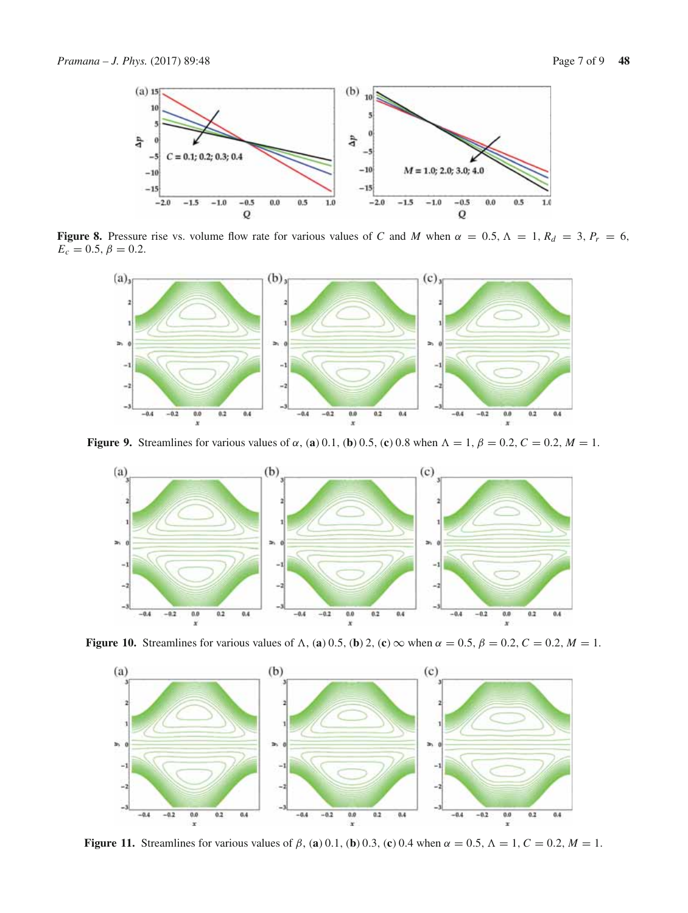

**Figure 8.** Pressure rise vs. volume flow rate for various values of *C* and *M* when  $\alpha = 0.5$ ,  $\Lambda = 1$ ,  $R_d = 3$ ,  $P_r = 6$ ,  $E_c = 0.5, \beta = 0.2.$ 



**Figure 9.** Streamlines for various values of  $\alpha$ , (**a**) 0.1, (**b**) 0.5, (**c**) 0.8 when  $\Lambda = 1$ ,  $\beta = 0.2$ ,  $C = 0.2$ ,  $M = 1$ .



**Figure 10.** Streamlines for various values of  $\Lambda$ , (**a**) 0.5, (**b**) 2, (**c**)  $\infty$  when  $\alpha = 0.5$ ,  $\beta = 0.2$ ,  $C = 0.2$ ,  $M = 1$ .



**Figure 11.** Streamlines for various values of  $\beta$ , (**a**) 0.1, (**b**) 0.3, (**c**) 0.4 when  $\alpha = 0.5$ ,  $\Lambda = 1$ ,  $C = 0.2$ ,  $M = 1$ .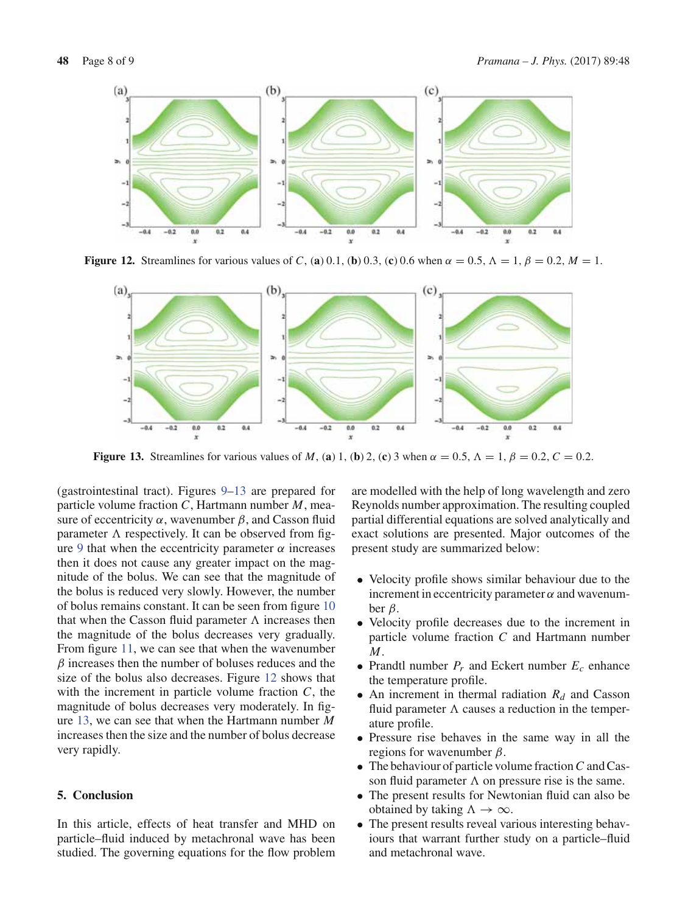

**Figure 12.** Streamlines for various values of *C*, (**a**) 0.1, (**b**) 0.3, (**c**) 0.6 when  $\alpha = 0.5$ ,  $\Lambda = 1$ ,  $\beta = 0.2$ ,  $M = 1$ .



**Figure 13.** Streamlines for various values of *M*, (**a**) 1, (**b**) 2, (**c**) 3 when  $\alpha = 0.5$ ,  $\Lambda = 1$ ,  $\beta = 0.2$ ,  $C = 0.2$ .

(gastrointestinal tract). Figures 9–13 are prepared for particle volume fraction *C*, Hartmann number *M*, measure of eccentricity  $\alpha$ , wavenumber  $\beta$ , and Casson fluid parameter  $\Lambda$  respectively. It can be observed from figure 9 that when the eccentricity parameter  $\alpha$  increases then it does not cause any greater impact on the magnitude of the bolus. We can see that the magnitude of the bolus is reduced very slowly. However, the number of bolus remains constant. It can be seen from figure 10 that when the Casson fluid parameter  $\Lambda$  increases then the magnitude of the bolus decreases very gradually. From figure 11, we can see that when the wavenumber  $\beta$  increases then the number of boluses reduces and the size of the bolus also decreases. Figure 12 shows that with the increment in particle volume fraction *C*, the magnitude of bolus decreases very moderately. In figure 13, we can see that when the Hartmann number *M* increases then the size and the number of bolus decrease very rapidly.

### **5. Conclusion**

In this article, effects of heat transfer and MHD on particle–fluid induced by metachronal wave has been studied. The governing equations for the flow problem are modelled with the help of long wavelength and zero Reynolds number approximation. The resulting coupled partial differential equations are solved analytically and exact solutions are presented. Major outcomes of the present study are summarized below:

- Velocity profile shows similar behaviour due to the increment in eccentricity parameter  $\alpha$  and wavenumber β.
- Velocity profile decreases due to the increment in particle volume fraction *C* and Hartmann number *M*.
- Prandtl number  $P_r$  and Eckert number  $E_c$  enhance the temperature profile.
- An increment in thermal radiation  $R_d$  and Casson fluid parameter  $\Lambda$  causes a reduction in the temperature profile.
- Pressure rise behaves in the same way in all the regions for wavenumber  $\beta$ .
- The behaviour of particle volume fraction*C* and Casson fluid parameter  $\Lambda$  on pressure rise is the same.
- The present results for Newtonian fluid can also be obtained by taking  $\Lambda \to \infty$ .
- The present results reveal various interesting behaviours that warrant further study on a particle–fluid and metachronal wave.